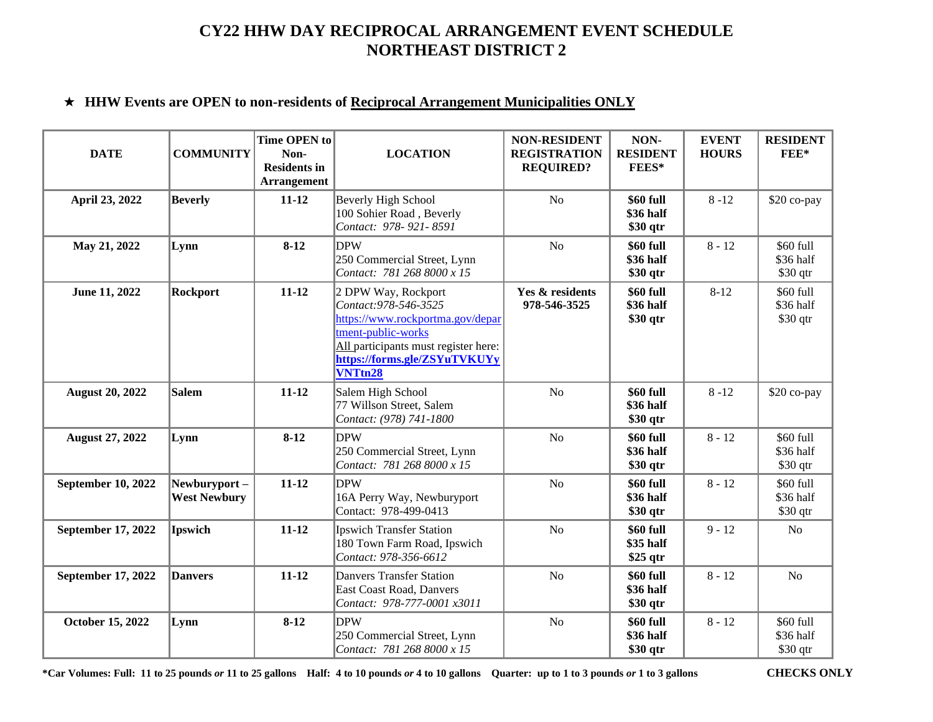# ★ **HHW Events are OPEN to non-residents of Reciprocal Arrangement Municipalities ONLY**

| <b>DATE</b>               | <b>COMMUNITY</b>                    | Time OPEN to<br>Non-<br><b>Residents in</b><br><b>Arrangement</b> | <b>LOCATION</b>                                                                                                                                                                                  | <b>NON-RESIDENT</b><br><b>REGISTRATION</b><br><b>REQUIRED?</b> | NON-<br><b>RESIDENT</b><br>FEES*    | <b>EVENT</b><br><b>HOURS</b> | <b>RESIDENT</b><br>FEE*             |
|---------------------------|-------------------------------------|-------------------------------------------------------------------|--------------------------------------------------------------------------------------------------------------------------------------------------------------------------------------------------|----------------------------------------------------------------|-------------------------------------|------------------------------|-------------------------------------|
| April 23, 2022            | <b>Beverly</b>                      | $11 - 12$                                                         | <b>Beverly High School</b><br>100 Sohier Road, Beverly<br>Contact: 978-921-8591                                                                                                                  | N <sub>o</sub>                                                 | \$60 full<br>\$36 half<br>\$30 qtr  | $8 - 12$                     | \$20 co-pay                         |
| May 21, 2022              | Lynn                                | $8-12$                                                            | <b>DPW</b><br>250 Commercial Street, Lynn<br>Contact: 781 268 8000 x 15                                                                                                                          | N <sub>o</sub>                                                 | \$60 full<br>\$36 half<br>\$30 qtr  | $8 - 12$                     | \$60 full<br>\$36 half<br>$$30$ qtr |
| June 11, 2022             | <b>Rockport</b>                     | $11 - 12$                                                         | 2 DPW Way, Rockport<br>Contact: 978-546-3525<br>https://www.rockportma.gov/depar<br>tment-public-works<br>All participants must register here:<br>https://forms.gle/ZSYuTVKUYy<br><b>VNTtn28</b> | Yes & residents<br>978-546-3525                                | \$60 full<br>\$36 half<br>\$30 qtr  | $8 - 12$                     | \$60 full<br>\$36 half<br>$$30$ qtr |
| <b>August 20, 2022</b>    | <b>Salem</b>                        | $11 - 12$                                                         | Salem High School<br>77 Willson Street, Salem<br>Contact: (978) 741-1800                                                                                                                         | N <sub>o</sub>                                                 | \$60 full<br>\$36 half<br>\$30 qtr  | $8 - 12$                     | \$20 co-pay                         |
| <b>August 27, 2022</b>    | Lynn                                | $8 - 12$                                                          | <b>DPW</b><br>250 Commercial Street, Lynn<br>Contact: 781 268 8000 x 15                                                                                                                          | $\rm No$                                                       | \$60 full<br>\$36 half<br>\$30 qtr  | $8 - 12$                     | \$60 full<br>\$36 half<br>$$30$ qtr |
| <b>September 10, 2022</b> | Newburyport-<br><b>West Newbury</b> | $11 - 12$                                                         | <b>DPW</b><br>16A Perry Way, Newburyport<br>Contact: 978-499-0413                                                                                                                                | N <sub>o</sub>                                                 | \$60 full<br>\$36 half<br>\$30 qtr  | $8 - 12$                     | \$60 full<br>\$36 half<br>$$30$ qtr |
| September 17, 2022        | <b>Ipswich</b>                      | $11 - 12$                                                         | <b>Ipswich Transfer Station</b><br>180 Town Farm Road, Ipswich<br>Contact: 978-356-6612                                                                                                          | No                                                             | \$60 full<br>\$35 half<br>$$25$ qtr | $9 - 12$                     | $\rm No$                            |
| September 17, 2022        | <b>Danvers</b>                      | $11 - 12$                                                         | <b>Danvers Transfer Station</b><br>East Coast Road, Danvers<br>Contact: 978-777-0001 x3011                                                                                                       | N <sub>o</sub>                                                 | \$60 full<br>\$36 half<br>\$30 qtr  | $8 - 12$                     | N <sub>o</sub>                      |
| October 15, 2022          | Lynn                                | $8 - 12$                                                          | <b>DPW</b><br>250 Commercial Street, Lynn<br>Contact: 781 268 8000 x 15                                                                                                                          | N <sub>o</sub>                                                 | \$60 full<br>\$36 half<br>\$30 qtr  | $8 - 12$                     | \$60 full<br>\$36 half<br>\$30 qtr  |

**\*Car Volumes: Full: 11 to 25 pounds** *or* **11 to 25 gallons Half: 4 to 10 pounds** *or* **4 to 10 gallons Quarter: up to 1 to 3 pounds** *or* **1 to 3 gallons CHECKS ONLY**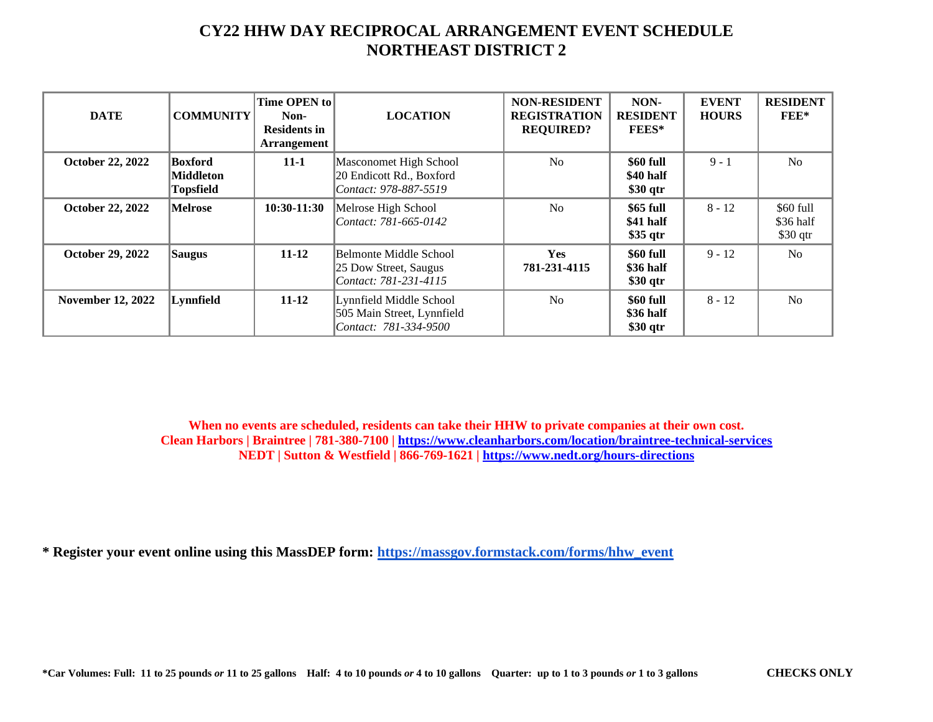| <b>DATE</b>              | <b>COMMUNITY</b>                         | Time OPEN to<br>Non-<br><b>Residents in</b><br><b>Arrangement</b> | <b>LOCATION</b>                                                                | <b>NON-RESIDENT</b><br><b>REGISTRATION</b><br><b>REQUIRED?</b> | NON-<br><b>RESIDENT</b><br><b>FEES*</b> | <b>EVENT</b><br><b>HOURS</b> | <b>RESIDENT</b><br>$FEE*$           |
|--------------------------|------------------------------------------|-------------------------------------------------------------------|--------------------------------------------------------------------------------|----------------------------------------------------------------|-----------------------------------------|------------------------------|-------------------------------------|
| <b>October 22, 2022</b>  | Boxford<br>Middleton<br><b>Topsfield</b> | $11 - 1$                                                          | Masconomet High School<br>20 Endicott Rd., Boxford<br>Contact: 978-887-5519    | No                                                             | \$60 full<br>\$40 half<br>\$30 qtr      | $9 - 1$                      | No                                  |
| <b>October 22, 2022</b>  | <b>Melrose</b>                           | $10:30-11:30$                                                     | Melrose High School<br>Contact: 781-665-0142                                   | No                                                             | \$65 full<br>\$41 half<br>$$35$ qtr     | $8 - 12$                     | \$60 full<br>\$36 half<br>$$30$ qtr |
| <b>October 29, 2022</b>  | <b>Saugus</b>                            | $11 - 12$                                                         | Belmonte Middle School<br>25 Dow Street, Saugus<br>Contact: 781-231-4115       | <b>Yes</b><br>781-231-4115                                     | \$60 full<br>\$36 half<br>\$30 qtr      | $9 - 12$                     | No                                  |
| <b>November 12, 2022</b> | Lynnfield                                | $11 - 12$                                                         | Lynnfield Middle School<br>505 Main Street, Lynnfield<br>Contact: 781-334-9500 | No                                                             | \$60 full<br>\$36 half<br>$$30$ qtr     | $8 - 12$                     | No                                  |

**When no events are scheduled, residents can take their HHW to private companies at their own cost. Clean Harbors | Braintree | 781-380-7100 |<https://www.cleanharbors.com/location/braintree-technical-services> NEDT | Sutton & Westfield | 866-769-1621 |<https://www.nedt.org/hours-directions>**

**\* Register your event online using this MassDEP form: [https://massgov.formstack.com/forms/hhw\\_event](https://massgov.formstack.com/forms/hhw_event)**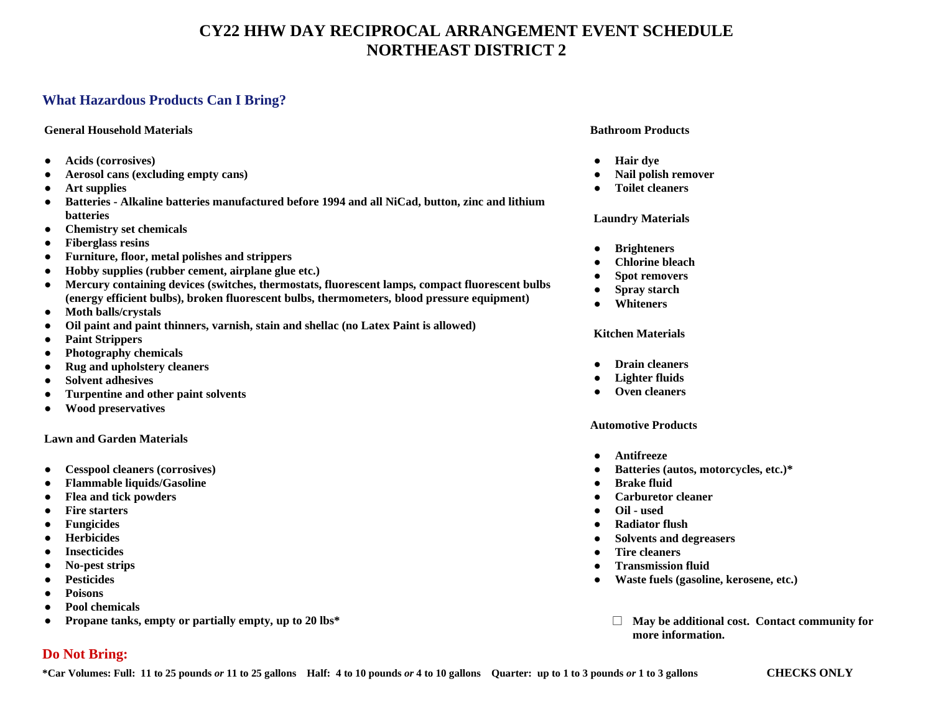## **What Hazardous Products Can I Bring?**

### **General Household Materials**

- **Acids (corrosives)**
- **Aerosol cans (excluding empty cans)**
- **Art supplies**
- **Batteries - Alkaline batteries manufactured before 1994 and all NiCad, button, zinc and lithium batteries**
- **Chemistry set chemicals**
- **Fiberglass resins**
- **Furniture, floor, metal polishes and strippers**
- **Hobby supplies (rubber cement, airplane glue etc.)**
- **Mercury containing devices (switches, thermostats, fluorescent lamps, compact fluorescent bulbs (energy efficient bulbs), broken fluorescent bulbs, thermometers, blood pressure equipment)**
- **Moth balls/crystals**
- **Oil paint and paint thinners, varnish, stain and shellac (no Latex Paint is allowed)**
- **Paint Strippers**
- **Photography chemicals**
- **Rug and upholstery cleaners**
- **Solvent adhesives**
- **Turpentine and other paint solvents**
- **Wood preservatives**

#### **Lawn and Garden Materials**

- **Cesspool cleaners (corrosives)**
- **Flammable liquids/Gasoline**
- **Flea and tick powders**
- **Fire starters**
- **Fungicides**
- **Herbicides**
- **Insecticides**
- **No-pest strips**
- **Pesticides**
- **Poisons**
- **Pool chemicals**
- **Propane tanks, empty or partially empty, up to 20 lbs\***

### **Bathroom Products**

- **Hair dye**
- **Nail polish remover**
- **Toilet cleaners**

### **Laundry Materials**

- **Brighteners**
- **Chlorine bleach**
- **Spot removers**
- **Spray starch**
- **Whiteners**

### **Kitchen Materials**

- **Drain cleaners**
- **Lighter fluids**
- **Oven cleaners**

#### **Automotive Products**

- **Antifreeze**
- **Batteries (autos, motorcycles, etc.)\***
- **Brake fluid**
- **Carburetor cleaner**
- **Oil - used**
- **Radiator flush**
- **Solvents and degreasers**
- **Tire cleaners**
- **Transmission fluid**
- **Waste fuels (gasoline, kerosene, etc.)**
	- **May be additional cost. Contact community for more information.**

# **Do Not Bring:**